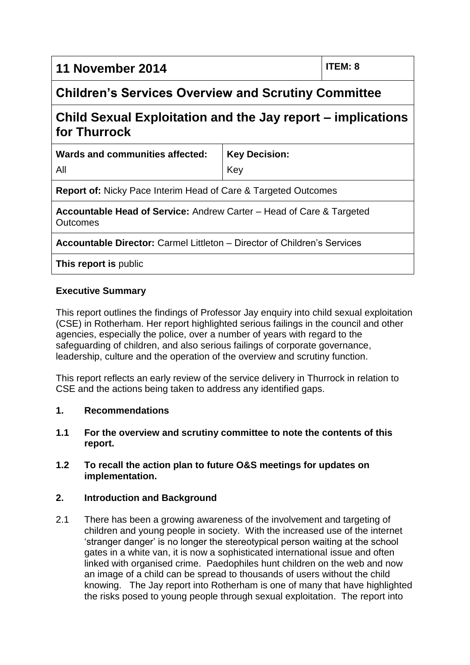# **11 November 2014 ITEM: 8**

# **Children's Services Overview and Scrutiny Committee**

# **Child Sexual Exploitation and the Jay report – implications for Thurrock**

| Wards and communities affected:                                                                | <b>Key Decision:</b> |
|------------------------------------------------------------------------------------------------|----------------------|
| All                                                                                            | Key                  |
| <b>Report of:</b> Nicky Pace Interim Head of Care & Targeted Outcomes                          |                      |
| <b>Accountable Head of Service:</b> Andrew Carter – Head of Care & Targeted<br><b>Outcomes</b> |                      |
| Accountable Director: Carmel Littleton - Director of Children's Services                       |                      |
| This report is public                                                                          |                      |

# **Executive Summary**

This report outlines the findings of Professor Jay enquiry into child sexual exploitation (CSE) in Rotherham. Her report highlighted serious failings in the council and other agencies, especially the police, over a number of years with regard to the safeguarding of children, and also serious failings of corporate governance, leadership, culture and the operation of the overview and scrutiny function.

This report reflects an early review of the service delivery in Thurrock in relation to CSE and the actions being taken to address any identified gaps.

#### **1. Recommendations**

**1.1 For the overview and scrutiny committee to note the contents of this report.**

#### **1.2 To recall the action plan to future O&S meetings for updates on implementation.**

# **2. Introduction and Background**

2.1 There has been a growing awareness of the involvement and targeting of children and young people in society. With the increased use of the internet 'stranger danger' is no longer the stereotypical person waiting at the school gates in a white van, it is now a sophisticated international issue and often linked with organised crime. Paedophiles hunt children on the web and now an image of a child can be spread to thousands of users without the child knowing. The Jay report into Rotherham is one of many that have highlighted the risks posed to young people through sexual exploitation. The report into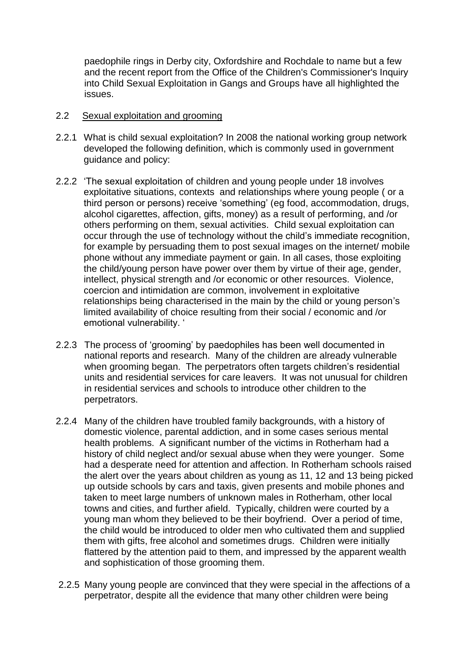paedophile rings in Derby city, Oxfordshire and Rochdale to name but a few and the recent report from the Office of the Children's Commissioner's Inquiry into Child Sexual Exploitation in Gangs and Groups have all highlighted the issues.

#### 2.2 Sexual exploitation and grooming

- 2.2.1 What is child sexual exploitation? In 2008 the national working group network developed the following definition, which is commonly used in government guidance and policy:
- 2.2.2 'The sexual exploitation of children and young people under 18 involves exploitative situations, contexts and relationships where young people ( or a third person or persons) receive 'something' (eg food, accommodation, drugs, alcohol cigarettes, affection, gifts, money) as a result of performing, and /or others performing on them, sexual activities. Child sexual exploitation can occur through the use of technology without the child's immediate recognition, for example by persuading them to post sexual images on the internet/ mobile phone without any immediate payment or gain. In all cases, those exploiting the child/young person have power over them by virtue of their age, gender, intellect, physical strength and /or economic or other resources. Violence, coercion and intimidation are common, involvement in exploitative relationships being characterised in the main by the child or young person's limited availability of choice resulting from their social / economic and /or emotional vulnerability. '
- 2.2.3 The process of 'grooming' by paedophiles has been well documented in national reports and research. Many of the children are already vulnerable when grooming began. The perpetrators often targets children's residential units and residential services for care leavers. It was not unusual for children in residential services and schools to introduce other children to the perpetrators.
- 2.2.4 Many of the children have troubled family backgrounds, with a history of domestic violence, parental addiction, and in some cases serious mental health problems. A significant number of the victims in Rotherham had a history of child neglect and/or sexual abuse when they were younger. Some had a desperate need for attention and affection. In Rotherham schools raised the alert over the years about children as young as 11, 12 and 13 being picked up outside schools by cars and taxis, given presents and mobile phones and taken to meet large numbers of unknown males in Rotherham, other local towns and cities, and further afield. Typically, children were courted by a young man whom they believed to be their boyfriend. Over a period of time, the child would be introduced to older men who cultivated them and supplied them with gifts, free alcohol and sometimes drugs. Children were initially flattered by the attention paid to them, and impressed by the apparent wealth and sophistication of those grooming them.
- 2.2.5 Many young people are convinced that they were special in the affections of a perpetrator, despite all the evidence that many other children were being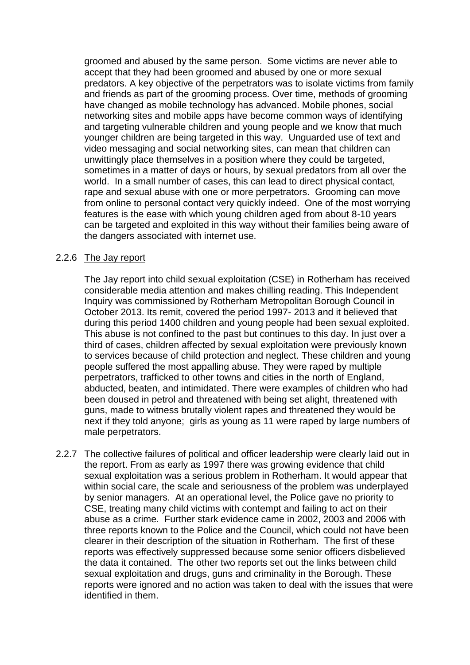groomed and abused by the same person. Some victims are never able to accept that they had been groomed and abused by one or more sexual predators. A key objective of the perpetrators was to isolate victims from family and friends as part of the grooming process. Over time, methods of grooming have changed as mobile technology has advanced. Mobile phones, social networking sites and mobile apps have become common ways of identifying and targeting vulnerable children and young people and we know that much younger children are being targeted in this way. Unguarded use of text and video messaging and social networking sites, can mean that children can unwittingly place themselves in a position where they could be targeted, sometimes in a matter of days or hours, by sexual predators from all over the world. In a small number of cases, this can lead to direct physical contact, rape and sexual abuse with one or more perpetrators. Grooming can move from online to personal contact very quickly indeed. One of the most worrying features is the ease with which young children aged from about 8-10 years can be targeted and exploited in this way without their families being aware of the dangers associated with internet use.

#### 2.2.6 The Jay report

The Jay report into child sexual exploitation (CSE) in Rotherham has received considerable media attention and makes chilling reading. This Independent Inquiry was commissioned by Rotherham Metropolitan Borough Council in October 2013. Its remit, covered the period 1997- 2013 and it believed that during this period 1400 children and young people had been sexual exploited. This abuse is not confined to the past but continues to this day. In just over a third of cases, children affected by sexual exploitation were previously known to services because of child protection and neglect. These children and young people suffered the most appalling abuse. They were raped by multiple perpetrators, trafficked to other towns and cities in the north of England, abducted, beaten, and intimidated. There were examples of children who had been doused in petrol and threatened with being set alight, threatened with guns, made to witness brutally violent rapes and threatened they would be next if they told anyone; girls as young as 11 were raped by large numbers of male perpetrators.

2.2.7 The collective failures of political and officer leadership were clearly laid out in the report. From as early as 1997 there was growing evidence that child sexual exploitation was a serious problem in Rotherham. It would appear that within social care, the scale and seriousness of the problem was underplayed by senior managers. At an operational level, the Police gave no priority to CSE, treating many child victims with contempt and failing to act on their abuse as a crime. Further stark evidence came in 2002, 2003 and 2006 with three reports known to the Police and the Council, which could not have been clearer in their description of the situation in Rotherham. The first of these reports was effectively suppressed because some senior officers disbelieved the data it contained. The other two reports set out the links between child sexual exploitation and drugs, guns and criminality in the Borough. These reports were ignored and no action was taken to deal with the issues that were identified in them.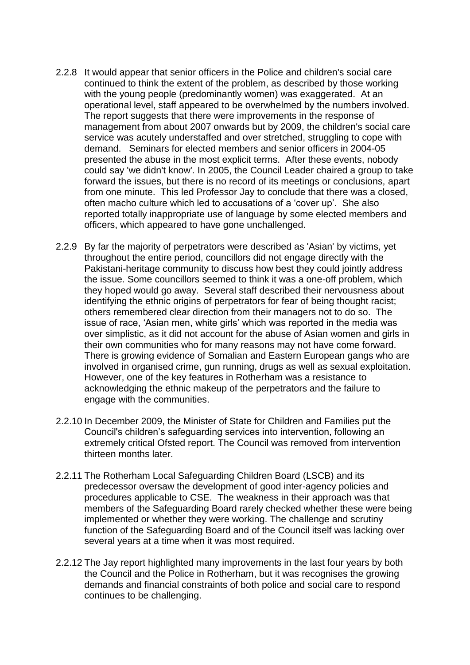- 2.2.8 It would appear that senior officers in the Police and children's social care continued to think the extent of the problem, as described by those working with the young people (predominantly women) was exaggerated. At an operational level, staff appeared to be overwhelmed by the numbers involved. The report suggests that there were improvements in the response of management from about 2007 onwards but by 2009, the children's social care service was acutely understaffed and over stretched, struggling to cope with demand. Seminars for elected members and senior officers in 2004-05 presented the abuse in the most explicit terms. After these events, nobody could say 'we didn't know'. In 2005, the Council Leader chaired a group to take forward the issues, but there is no record of its meetings or conclusions, apart from one minute. This led Professor Jay to conclude that there was a closed, often macho culture which led to accusations of a 'cover up'. She also reported totally inappropriate use of language by some elected members and officers, which appeared to have gone unchallenged.
- 2.2.9 By far the majority of perpetrators were described as 'Asian' by victims, yet throughout the entire period, councillors did not engage directly with the Pakistani-heritage community to discuss how best they could jointly address the issue. Some councillors seemed to think it was a one-off problem, which they hoped would go away. Several staff described their nervousness about identifying the ethnic origins of perpetrators for fear of being thought racist; others remembered clear direction from their managers not to do so. The issue of race, 'Asian men, white girls' which was reported in the media was over simplistic, as it did not account for the abuse of Asian women and girls in their own communities who for many reasons may not have come forward. There is growing evidence of Somalian and Eastern European gangs who are involved in organised crime, gun running, drugs as well as sexual exploitation. However, one of the key features in Rotherham was a resistance to acknowledging the ethnic makeup of the perpetrators and the failure to engage with the communities.
- 2.2.10 In December 2009, the Minister of State for Children and Families put the Council's children's safeguarding services into intervention, following an extremely critical Ofsted report. The Council was removed from intervention thirteen months later.
- 2.2.11 The Rotherham Local Safeguarding Children Board (LSCB) and its predecessor oversaw the development of good inter-agency policies and procedures applicable to CSE. The weakness in their approach was that members of the Safeguarding Board rarely checked whether these were being implemented or whether they were working. The challenge and scrutiny function of the Safeguarding Board and of the Council itself was lacking over several years at a time when it was most required.
- 2.2.12 The Jay report highlighted many improvements in the last four years by both the Council and the Police in Rotherham, but it was recognises the growing demands and financial constraints of both police and social care to respond continues to be challenging.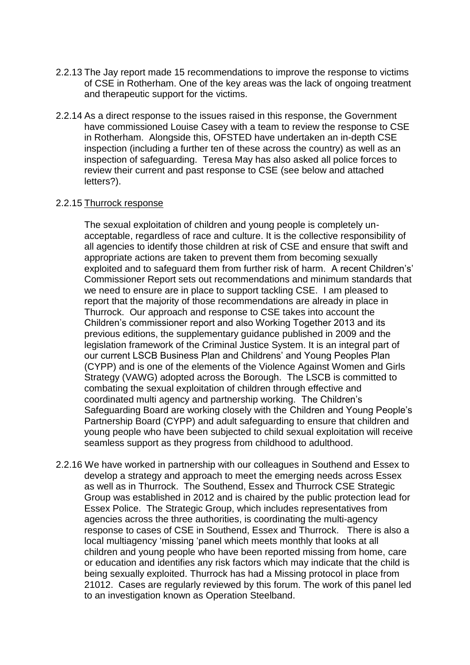- 2.2.13 The Jay report made 15 recommendations to improve the response to victims of CSE in Rotherham. One of the key areas was the lack of ongoing treatment and therapeutic support for the victims.
- 2.2.14 As a direct response to the issues raised in this response, the Government have commissioned Louise Casey with a team to review the response to CSE in Rotherham. Alongside this, OFSTED have undertaken an in-depth CSE inspection (including a further ten of these across the country) as well as an inspection of safeguarding. Teresa May has also asked all police forces to review their current and past response to CSE (see below and attached letters?).

#### 2.2.15 Thurrock response

The sexual exploitation of children and young people is completely unacceptable, regardless of race and culture. It is the collective responsibility of all agencies to identify those children at risk of CSE and ensure that swift and appropriate actions are taken to prevent them from becoming sexually exploited and to safeguard them from further risk of harm. A recent Children's' Commissioner Report sets out recommendations and minimum standards that we need to ensure are in place to support tackling CSE. I am pleased to report that the majority of those recommendations are already in place in Thurrock. Our approach and response to CSE takes into account the Children's commissioner report and also Working Together 2013 and its previous editions, the supplementary guidance published in 2009 and the legislation framework of the Criminal Justice System. It is an integral part of our current LSCB Business Plan and Childrens' and Young Peoples Plan (CYPP) and is one of the elements of the Violence Against Women and Girls Strategy (VAWG) adopted across the Borough. The LSCB is committed to combating the sexual exploitation of children through effective and coordinated multi agency and partnership working. The Children's Safeguarding Board are working closely with the Children and Young People's Partnership Board (CYPP) and adult safeguarding to ensure that children and young people who have been subjected to child sexual exploitation will receive seamless support as they progress from childhood to adulthood.

2.2.16 We have worked in partnership with our colleagues in Southend and Essex to develop a strategy and approach to meet the emerging needs across Essex as well as in Thurrock. The Southend, Essex and Thurrock CSE Strategic Group was established in 2012 and is chaired by the public protection lead for Essex Police. The Strategic Group, which includes representatives from agencies across the three authorities, is coordinating the multi-agency response to cases of CSE in Southend, Essex and Thurrock. There is also a local multiagency 'missing 'panel which meets monthly that looks at all children and young people who have been reported missing from home, care or education and identifies any risk factors which may indicate that the child is being sexually exploited. Thurrock has had a Missing protocol in place from 21012. Cases are regularly reviewed by this forum. The work of this panel led to an investigation known as Operation Steelband.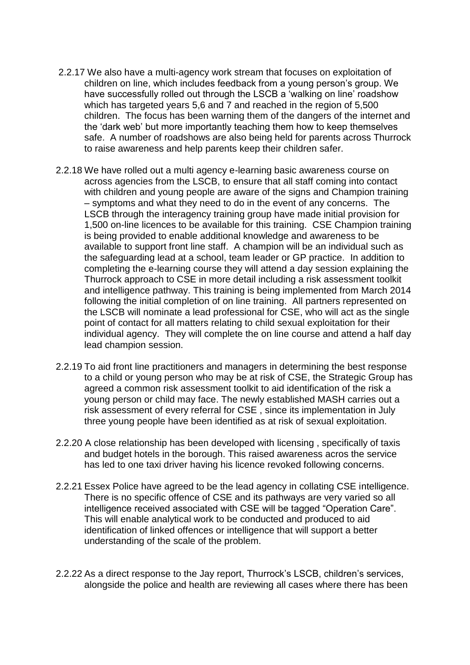- 2.2.17 We also have a multi-agency work stream that focuses on exploitation of children on line, which includes feedback from a young person's group. We have successfully rolled out through the LSCB a 'walking on line' roadshow which has targeted years 5,6 and 7 and reached in the region of 5,500 children. The focus has been warning them of the dangers of the internet and the 'dark web' but more importantly teaching them how to keep themselves safe. A number of roadshows are also being held for parents across Thurrock to raise awareness and help parents keep their children safer.
- 2.2.18 We have rolled out a multi agency e-learning basic awareness course on across agencies from the LSCB, to ensure that all staff coming into contact with children and young people are aware of the signs and Champion training – symptoms and what they need to do in the event of any concerns. The LSCB through the interagency training group have made initial provision for 1,500 on-line licences to be available for this training. CSE Champion training is being provided to enable additional knowledge and awareness to be available to support front line staff. A champion will be an individual such as the safeguarding lead at a school, team leader or GP practice. In addition to completing the e-learning course they will attend a day session explaining the Thurrock approach to CSE in more detail including a risk assessment toolkit and intelligence pathway. This training is being implemented from March 2014 following the initial completion of on line training. All partners represented on the LSCB will nominate a lead professional for CSE, who will act as the single point of contact for all matters relating to child sexual exploitation for their individual agency. They will complete the on line course and attend a half day lead champion session.
- 2.2.19 To aid front line practitioners and managers in determining the best response to a child or young person who may be at risk of CSE, the Strategic Group has agreed a common risk assessment toolkit to aid identification of the risk a young person or child may face. The newly established MASH carries out a risk assessment of every referral for CSE , since its implementation in July three young people have been identified as at risk of sexual exploitation.
- 2.2.20 A close relationship has been developed with licensing , specifically of taxis and budget hotels in the borough. This raised awareness acros the service has led to one taxi driver having his licence revoked following concerns.
- 2.2.21 Essex Police have agreed to be the lead agency in collating CSE intelligence. There is no specific offence of CSE and its pathways are very varied so all intelligence received associated with CSE will be tagged "Operation Care". This will enable analytical work to be conducted and produced to aid identification of linked offences or intelligence that will support a better understanding of the scale of the problem.
- 2.2.22 As a direct response to the Jay report, Thurrock's LSCB, children's services, alongside the police and health are reviewing all cases where there has been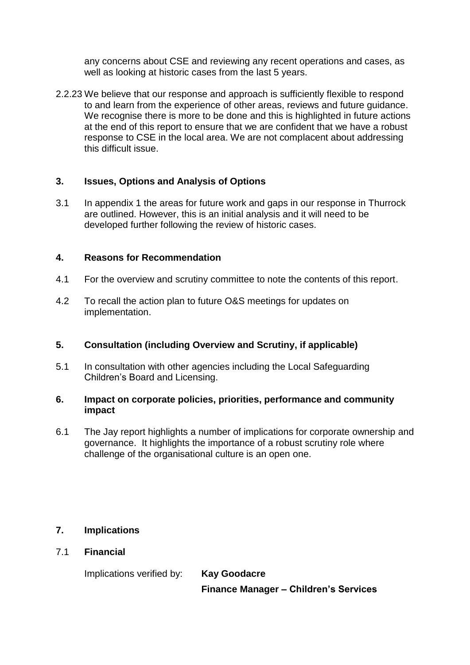any concerns about CSE and reviewing any recent operations and cases, as well as looking at historic cases from the last 5 years.

2.2.23 We believe that our response and approach is sufficiently flexible to respond to and learn from the experience of other areas, reviews and future guidance. We recognise there is more to be done and this is highlighted in future actions at the end of this report to ensure that we are confident that we have a robust response to CSE in the local area. We are not complacent about addressing this difficult issue.

# **3. Issues, Options and Analysis of Options**

3.1 In appendix 1 the areas for future work and gaps in our response in Thurrock are outlined. However, this is an initial analysis and it will need to be developed further following the review of historic cases.

# **4. Reasons for Recommendation**

- 4.1 For the overview and scrutiny committee to note the contents of this report.
- 4.2 To recall the action plan to future O&S meetings for updates on implementation.

# **5. Consultation (including Overview and Scrutiny, if applicable)**

5.1 In consultation with other agencies including the Local Safeguarding Children's Board and Licensing.

#### **6. Impact on corporate policies, priorities, performance and community impact**

6.1 The Jay report highlights a number of implications for corporate ownership and governance. It highlights the importance of a robust scrutiny role where challenge of the organisational culture is an open one.

# **7. Implications**

7.1 **Financial**

Implications verified by: **Kay Goodacre**

**Finance Manager – Children's Services**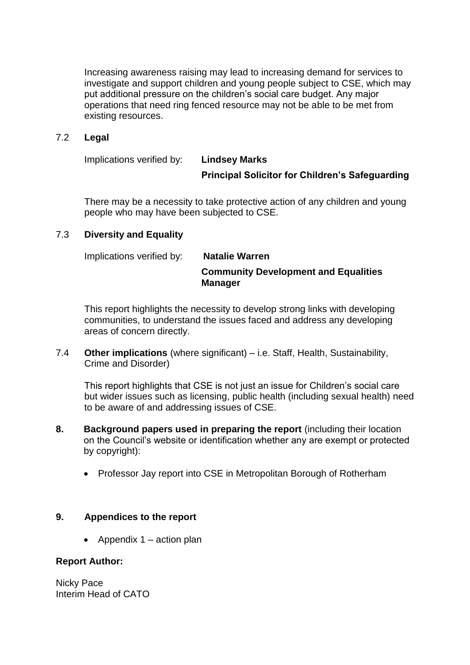Increasing awareness raising may lead to increasing demand for services to investigate and support children and young people subject to CSE, which may put additional pressure on the children's social care budget. Any major operations that need ring fenced resource may not be able to be met from existing resources.

## 7.2 **Legal**

Implications verified by: **Lindsey Marks**

# **Principal Solicitor for Children's Safeguarding**

There may be a necessity to take protective action of any children and young people who may have been subjected to CSE.

# 7.3 **Diversity and Equality**

# Implications verified by: **Natalie Warren Community Development and Equalities Manager**

This report highlights the necessity to develop strong links with developing communities, to understand the issues faced and address any developing areas of concern directly.

7.4 **Other implications** (where significant) – i.e. Staff, Health, Sustainability, Crime and Disorder)

This report highlights that CSE is not just an issue for Children's social care but wider issues such as licensing, public health (including sexual health) need to be aware of and addressing issues of CSE.

- **8. Background papers used in preparing the report** (including their location on the Council's website or identification whether any are exempt or protected by copyright):
	- Professor Jay report into CSE in Metropolitan Borough of Rotherham

#### **9. Appendices to the report**

• Appendix  $1 -$  action plan

#### **Report Author:**

Nicky Pace Interim Head of CATO